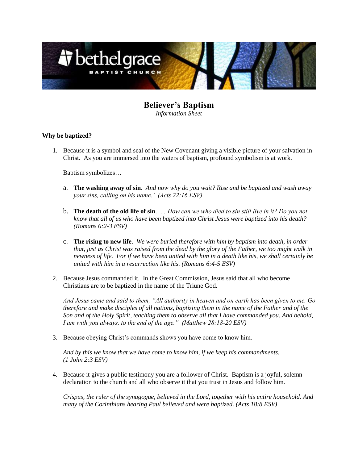

**Believer's Baptism** *Information Sheet*

# **Why be baptized?**

1. Because it is a symbol and seal of the New Covenant giving a visible picture of your salvation in Christ. As you are immersed into the waters of baptism, profound symbolism is at work.

Baptism symbolizes…

- a. **The washing away of sin**. *And now why do you wait? Rise and be baptized and wash away your sins, calling on his name.' (Acts 22:16 ESV)*
- b. **The death of the old life of sin**. *… How can we who died to sin still live in it? Do you not know that all of us who have been baptized into Christ Jesus were baptized into his death? (Romans 6:2-3 ESV)*
- c. **The rising to new life**. *We were buried therefore with him by baptism into death, in order that, just as Christ was raised from the dead by the glory of the Father, we too might walk in newness of life. For if we have been united with him in a death like his, we shall certainly be united with him in a resurrection like his. (Romans 6:4-5 ESV)*
- 2. Because Jesus commanded it. In the Great Commission, Jesus said that all who become Christians are to be baptized in the name of the Triune God.

*And Jesus came and said to them, "All authority in heaven and on earth has been given to me. Go therefore and make disciples of all nations, baptizing them in the name of the Father and of the Son and of the Holy Spirit, teaching them to observe all that I have commanded you. And behold, I am with you always, to the end of the age." (Matthew 28:18-20 ESV)*

3. Because obeying Christ's commands shows you have come to know him.

*And by this we know that we have come to know him, if we keep his commandments. (1 John 2:3 ESV)*

4. Because it gives a public testimony you are a follower of Christ. Baptism is a joyful, solemn declaration to the church and all who observe it that you trust in Jesus and follow him.

*Crispus, the ruler of the synagogue, believed in the Lord, together with his entire household. And many of the Corinthians hearing Paul believed and were baptized. (Acts 18:8 ESV)*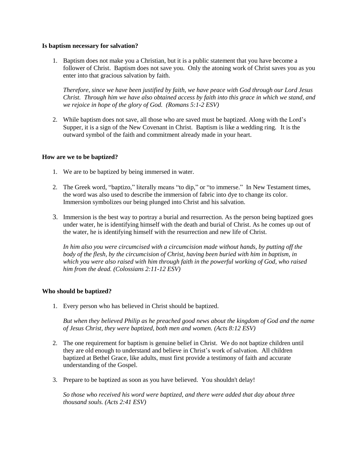### **Is baptism necessary for salvation?**

1. Baptism does not make you a Christian, but it is a public statement that you have become a follower of Christ. Baptism does not save you. Only the atoning work of Christ saves you as you enter into that gracious salvation by faith.

*Therefore, since we have been justified by faith, we have peace with God through our Lord Jesus Christ. Through him we have also obtained access by faith into this grace in which we stand, and we rejoice in hope of the glory of God. (Romans 5:1-2 ESV)*

2. While baptism does not save, all those who are saved must be baptized. Along with the Lord's Supper, it is a sign of the New Covenant in Christ. Baptism is like a wedding ring. It is the outward symbol of the faith and commitment already made in your heart.

## **How are we to be baptized?**

- 1. We are to be baptized by being immersed in water.
- 2. The Greek word, "baptizo," literally means "to dip," or "to immerse." In New Testament times, the word was also used to describe the immersion of fabric into dye to change its color. Immersion symbolizes our being plunged into Christ and his salvation.
- 3. Immersion is the best way to portray a burial and resurrection. As the person being baptized goes under water, he is identifying himself with the death and burial of Christ. As he comes up out of the water, he is identifying himself with the resurrection and new life of Christ.

*In him also you were circumcised with a circumcision made without hands, by putting off the body of the flesh, by the circumcision of Christ, having been buried with him in baptism, in which you were also raised with him through faith in the powerful working of God, who raised him from the dead. (Colossians 2:11-12 ESV)*

## **Who should be baptized?**

1. Every person who has believed in Christ should be baptized.

*But when they believed Philip as he preached good news about the kingdom of God and the name of Jesus Christ, they were baptized, both men and women. (Acts 8:12 ESV)*

- 2. The one requirement for baptism is genuine belief in Christ. We do not baptize children until they are old enough to understand and believe in Christ's work of salvation. All children baptized at Bethel Grace, like adults, must first provide a testimony of faith and accurate understanding of the Gospel.
- 3. Prepare to be baptized as soon as you have believed. You shouldn't delay!

*So those who received his word were baptized, and there were added that day about three thousand souls. (Acts 2:41 ESV)*